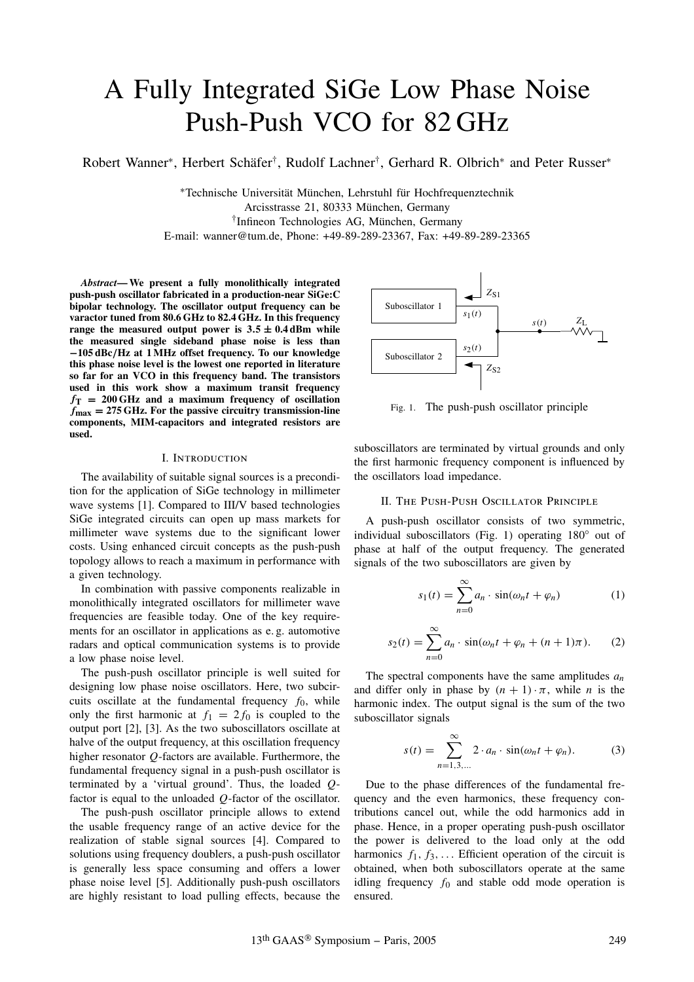# A Fully Integrated SiGe Low Phase Noise Push-Push VCO for 82 GHz

Robert Wanner∗, Herbert Schäfer†, Rudolf Lachner†, Gerhard R. Olbrich<sup>∗</sup> and Peter Russer<sup>∗</sup>

∗Technische Universität München, Lehrstuhl für Hochfrequenztechnik Arcisstrasse 21, 80333 München, Germany †Infineon Technologies AG, München, Germany E-mail: wanner@tum.de, Phone: +49-89-289-23367, Fax: +49-89-289-23365

*Abstract***— We present a fully monolithically integrated push-push oscillator fabricated in a production-near SiGe:C bipolar technology. The oscillator output frequency can be varactor tuned from 80.6 GHz to 82.4 GHz. In this frequency range the measured output power is**  $3.5 \pm 0.4$  **dBm while the measured single sideband phase noise is less than −105 dBc***/***Hz at 1 MHz offset frequency. To our knowledge this phase noise level is the lowest one reported in literature so far for an VCO in this frequency band. The transistors used in this work show a maximum transit frequency**  $f_{\text{T}}$  = 200 GHz and a maximum frequency of oscillation *f***max = 275 GHz. For the passive circuitry transmission-line components, MIM-capacitors and integrated resistors are used.**

## I. Introduction

The availability of suitable signal sources is a precondition for the application of SiGe technology in millimeter wave systems [1]. Compared to III/V based technologies SiGe integrated circuits can open up mass markets for millimeter wave systems due to the significant lower costs. Using enhanced circuit concepts as the push-push topology allows to reach a maximum in performance with a given technology.

In combination with passive components realizable in monolithically integrated oscillators for millimeter wave frequencies are feasible today. One of the key requirements for an oscillator in applications as e. g. automotive radars and optical communication systems is to provide a low phase noise level.

The push-push oscillator principle is well suited for designing low phase noise oscillators. Here, two subcircuits oscillate at the fundamental frequency  $f_0$ , while only the first harmonic at  $f_1 = 2f_0$  is coupled to the output port [2], [3]. As the two suboscillators oscillate at halve of the output frequency, at this oscillation frequency higher resonator *Q*-factors are available. Furthermore, the fundamental frequency signal in a push-push oscillator is terminated by a 'virtual ground'. Thus, the loaded *Q*factor is equal to the unloaded *Q*-factor of the oscillator.

The push-push oscillator principle allows to extend the usable frequency range of an active device for the realization of stable signal sources [4]. Compared to solutions using frequency doublers, a push-push oscillator is generally less space consuming and offers a lower phase noise level [5]. Additionally push-push oscillators are highly resistant to load pulling effects, because the



Fig. 1. The push-push oscillator principle

suboscillators are terminated by virtual grounds and only the first harmonic frequency component is influenced by the oscillators load impedance.

### II. The Push-Push Oscillator Principle

A push-push oscillator consists of two symmetric, individual suboscillators (Fig. 1) operating 180◦ out of phase at half of the output frequency. The generated signals of the two suboscillators are given by

$$
s_1(t) = \sum_{n=0}^{\infty} a_n \cdot \sin(\omega_n t + \varphi_n)
$$
 (1)

$$
s_2(t) = \sum_{n=0}^{\infty} a_n \cdot \sin(\omega_n t + \varphi_n + (n+1)\pi). \tag{2}
$$

The spectral components have the same amplitudes *an* and differ only in phase by  $(n + 1) \cdot \pi$ , while *n* is the harmonic index. The output signal is the sum of the two suboscillator signals

$$
s(t) = \sum_{n=1,3,...}^{\infty} 2 \cdot a_n \cdot \sin(\omega_n t + \varphi_n). \tag{3}
$$

Due to the phase differences of the fundamental frequency and the even harmonics, these frequency contributions cancel out, while the odd harmonics add in phase. Hence, in a proper operating push-push oscillator the power is delivered to the load only at the odd harmonics  $f_1, f_3, \ldots$  Efficient operation of the circuit is obtained, when both suboscillators operate at the same idling frequency  $f_0$  and stable odd mode operation is ensured.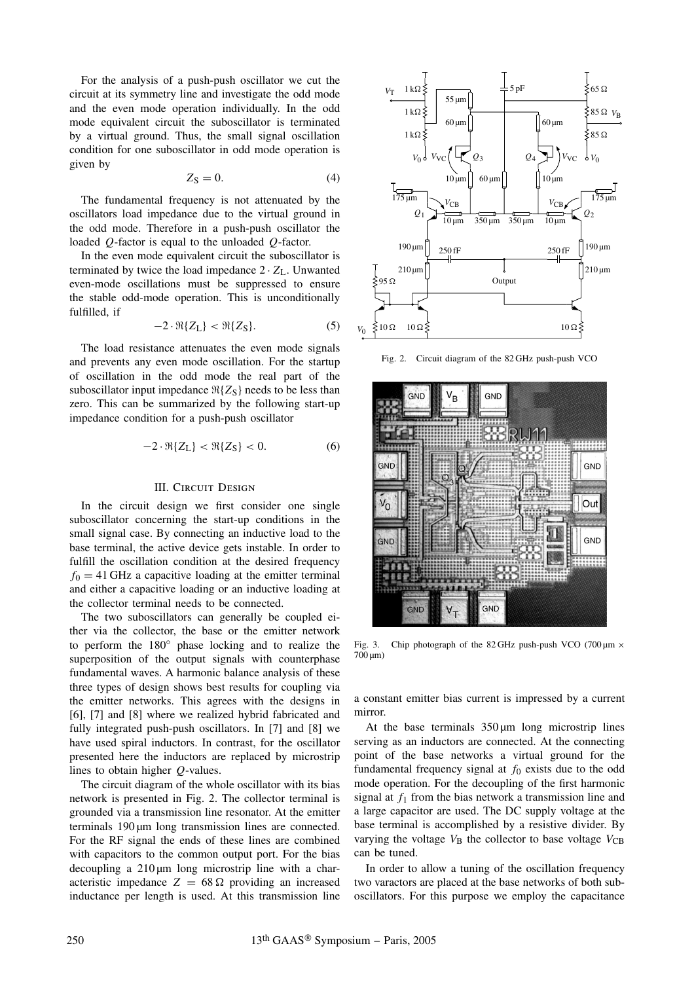For the analysis of a push-push oscillator we cut the circuit at its symmetry line and investigate the odd mode and the even mode operation individually. In the odd mode equivalent circuit the suboscillator is terminated by a virtual ground. Thus, the small signal oscillation condition for one suboscillator in odd mode operation is given by

$$
Z_{\rm S}=0.\tag{4}
$$

The fundamental frequency is not attenuated by the oscillators load impedance due to the virtual ground in the odd mode. Therefore in a push-push oscillator the loaded *Q*-factor is equal to the unloaded *Q*-factor.

In the even mode equivalent circuit the suboscillator is terminated by twice the load impedance  $2 \cdot Z_L$ . Unwanted even-mode oscillations must be suppressed to ensure the stable odd-mode operation. This is unconditionally fulfilled, if

$$
-2 \cdot \Re\{Z_L\} < \Re\{Z_S\}.\tag{5}
$$

The load resistance attenuates the even mode signals and prevents any even mode oscillation. For the startup of oscillation in the odd mode the real part of the suboscillator input impedance  $\Re\{Z_S\}$  needs to be less than zero. This can be summarized by the following start-up impedance condition for a push-push oscillator

$$
-2 \cdot \Re\{Z_L\} < \Re\{Z_S\} < 0. \tag{6}
$$

## III. CIRCUIT DESIGN

In the circuit design we first consider one single suboscillator concerning the start-up conditions in the small signal case. By connecting an inductive load to the base terminal, the active device gets instable. In order to fulfill the oscillation condition at the desired frequency  $f<sub>0</sub> = 41$  GHz a capacitive loading at the emitter terminal and either a capacitive loading or an inductive loading at the collector terminal needs to be connected.

The two suboscillators can generally be coupled either via the collector, the base or the emitter network to perform the 180◦ phase locking and to realize the superposition of the output signals with counterphase fundamental waves. A harmonic balance analysis of these three types of design shows best results for coupling via the emitter networks. This agrees with the designs in [6], [7] and [8] where we realized hybrid fabricated and fully integrated push-push oscillators. In [7] and [8] we have used spiral inductors. In contrast, for the oscillator presented here the inductors are replaced by microstrip lines to obtain higher *Q*-values.

The circuit diagram of the whole oscillator with its bias network is presented in Fig. 2. The collector terminal is grounded via a transmission line resonator. At the emitter terminals 190 µm long transmission lines are connected. For the RF signal the ends of these lines are combined with capacitors to the common output port. For the bias decoupling a  $210 \mu m$  long microstrip line with a characteristic impedance  $Z = 68 \Omega$  providing an increased inductance per length is used. At this transmission line



Fig. 2. Circuit diagram of the 82 GHz push-push VCO



Fig. 3. Chip photograph of the 82 GHz push-push VCO (700  $\mu$ m  $\times$  $700 \,\mathrm{\upmu m}$ 

a constant emitter bias current is impressed by a current mirror.

At the base terminals  $350 \mu m$  long microstrip lines serving as an inductors are connected. At the connecting point of the base networks a virtual ground for the fundamental frequency signal at  $f_0$  exists due to the odd mode operation. For the decoupling of the first harmonic signal at  $f_1$  from the bias network a transmission line and a large capacitor are used. The DC supply voltage at the base terminal is accomplished by a resistive divider. By varying the voltage  $V_B$  the collector to base voltage  $V_{CB}$ can be tuned.

In order to allow a tuning of the oscillation frequency two varactors are placed at the base networks of both suboscillators. For this purpose we employ the capacitance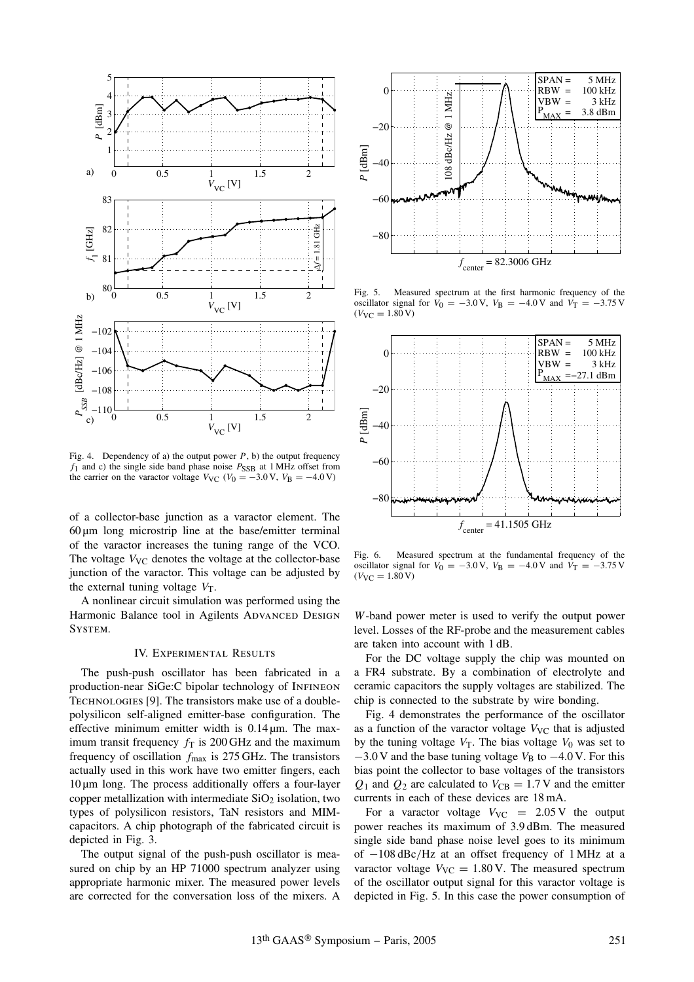

Fig. 4. Dependency of a) the output power  $P$ , b) the output frequency  $f_1$  and c) the single side band phase noise  $P_{SSB}$  at 1 MHz offset from the carrier on the varactor voltage  $V_{\text{VC}}$  ( $V_0 = -3.0 \text{ V}$ ,  $V_B = -4.0 \text{ V}$ )

of a collector-base junction as a varactor element. The  $60 \mu m$  long microstrip line at the base/emitter terminal of the varactor increases the tuning range of the VCO. The voltage  $V_{\text{VC}}$  denotes the voltage at the collector-base junction of the varactor. This voltage can be adjusted by the external tuning voltage  $V_T$ .

A nonlinear circuit simulation was performed using the Harmonic Balance tool in Agilents ADVANCED DESIGN System.

# IV. Experimental Results

The push-push oscillator has been fabricated in a production-near SiGe:C bipolar technology of Infineon TECHNOLOGIES [9]. The transistors make use of a doublepolysilicon self-aligned emitter-base configuration. The effective minimum emitter width is  $0.14 \mu m$ . The maximum transit frequency  $f<sub>T</sub>$  is 200 GHz and the maximum frequency of oscillation *f*max is 275 GHz. The transistors actually used in this work have two emitter fingers, each  $10 \mu m$  long. The process additionally offers a four-layer copper metallization with intermediate  $SiO<sub>2</sub>$  isolation, two types of polysilicon resistors, TaN resistors and MIMcapacitors. A chip photograph of the fabricated circuit is depicted in Fig. 3.

The output signal of the push-push oscillator is measured on chip by an HP 71000 spectrum analyzer using appropriate harmonic mixer. The measured power levels are corrected for the conversation loss of the mixers. A



Fig. 5. Measured spectrum at the first harmonic frequency of the oscillator signal for  $V_0 = -3.0 \text{ V}$ ,  $V_B = -4.0 \text{ V}$  and  $V_T = -3.75 \text{ V}$  $(V_{\text{VC}} = 1.80 \text{ V})$ 



Fig. 6. Measured spectrum at the fundamental frequency of the oscillator signal for  $V_0 = -3.0 \text{ V}$ ,  $V_B = -4.0 \text{ V}$  and  $V_T = -3.75 \text{ V}$  $(V_{\text{VC}} = 1.80 \text{ V})$ 

*W*-band power meter is used to verify the output power level. Losses of the RF-probe and the measurement cables are taken into account with 1 dB.

For the DC voltage supply the chip was mounted on a FR4 substrate. By a combination of electrolyte and ceramic capacitors the supply voltages are stabilized. The chip is connected to the substrate by wire bonding.

Fig. 4 demonstrates the performance of the oscillator as a function of the varactor voltage  $V_{\text{VC}}$  that is adjusted by the tuning voltage  $V_T$ . The bias voltage  $V_0$  was set to  $-3.0$  V and the base tuning voltage  $V_B$  to  $-4.0$  V. For this bias point the collector to base voltages of the transistors  $Q_1$  and  $Q_2$  are calculated to  $V_{CB} = 1.7$  V and the emitter currents in each of these devices are 18 mA.

For a varactor voltage  $V_{\text{VC}} = 2.05 \text{ V}$  the output power reaches its maximum of 3.9 dBm. The measured single side band phase noise level goes to its minimum of −108 dBc/Hz at an offset frequency of 1 MHz at a varactor voltage  $V_{\text{VC}} = 1.80 \text{ V}$ . The measured spectrum of the oscillator output signal for this varactor voltage is depicted in Fig. 5. In this case the power consumption of